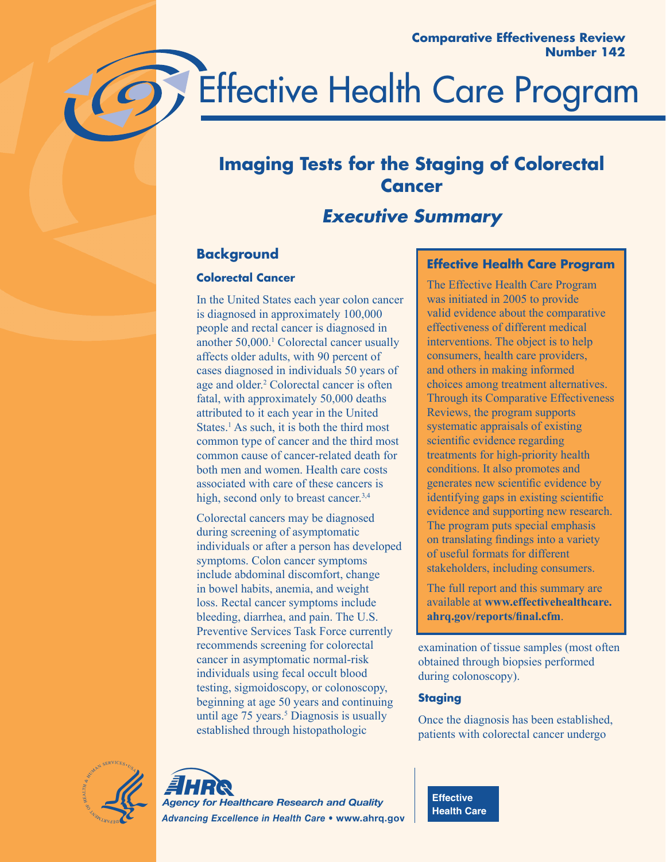

# **Imaging Tests for the Staging of Colorectal Cancer**

# *Executive Summary*

# **Background**

# **Colorectal Cancer**

In the United States each year colon cancer is diagnosed in approximately 100,000 people and rectal cancer is diagnosed in another 50,000.1 Colorectal cancer usually affects older adults, with 90 percent of cases diagnosed in individuals 50 years of age and older.<sup>2</sup> Colorectal cancer is often fatal, with approximately 50,000 deaths attributed to it each year in the United States.<sup>1</sup> As such, it is both the third most common type of cancer and the third most common cause of cancer-related death for both men and women. Health care costs associated with care of these cancers is high, second only to breast cancer.<sup>3,4</sup>

Colorectal cancers may be diagnosed during screening of asymptomatic individuals or after a person has developed symptoms. Colon cancer symptoms include abdominal discomfort, change in bowel habits, anemia, and weight loss. Rectal cancer symptoms include bleeding, diarrhea, and pain. The U.S. Preventive Services Task Force currently recommends screening for colorectal cancer in asymptomatic normal-risk individuals using fecal occult blood testing, sigmoidoscopy, or colonoscopy, beginning at age 50 years and continuing until age  $75$  years.<sup>5</sup> Diagnosis is usually established through histopathologic

# **Effective Health Care Program**

The Effective Health Care Program was initiated in 2005 to provide valid evidence about the comparative effectiveness of different medical interventions. The object is to help consumers, health care providers, and others in making informed choices among treatment alternatives. Through its Comparative Effectiveness Reviews, the program supports systematic appraisals of existing scientific evidence regarding treatments for high-priority health conditions. It also promotes and generates new scientific evidence by identifying gaps in existing scientific evidence and supporting new research. The program puts special emphasis on translating findings into a variety of useful formats for different stakeholders, including consumers.

The full report and this summary are available at **www.effectivehealthcare. ahrq.gov/reports/final.cfm**.

examination of tissue samples (most often obtained through biopsies performed during colonoscopy).

# **Staging**

Once the diagnosis has been established, patients with colorectal cancer undergo





**Effective Health Care**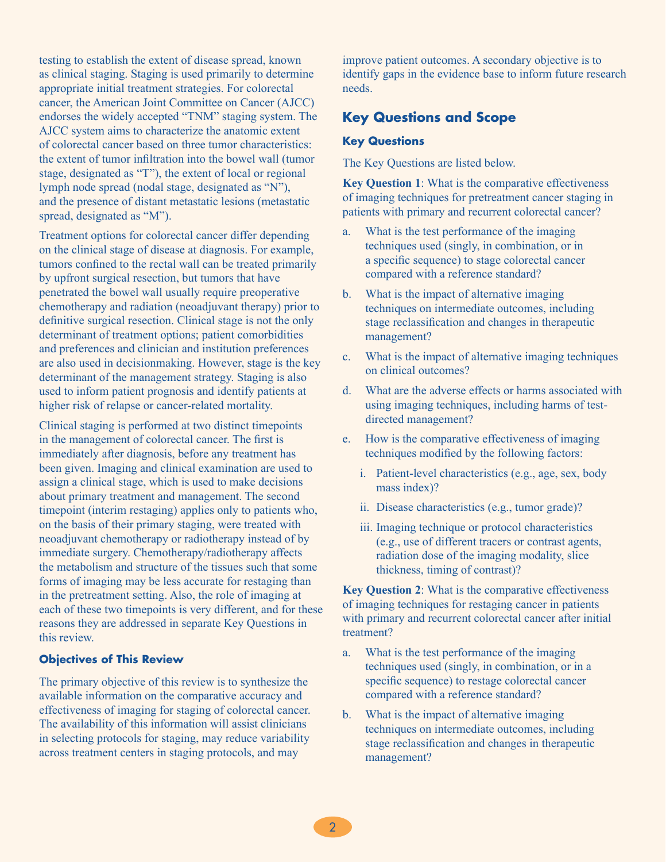testing to establish the extent of disease spread, known as clinical staging. Staging is used primarily to determine appropriate initial treatment strategies. For colorectal cancer, the American Joint Committee on Cancer (AJCC) endorses the widely accepted "TNM" staging system. The AJCC system aims to characterize the anatomic extent of colorectal cancer based on three tumor characteristics: the extent of tumor infiltration into the bowel wall (tumor stage, designated as "T"), the extent of local or regional lymph node spread (nodal stage, designated as "N"), and the presence of distant metastatic lesions (metastatic spread, designated as "M").

Treatment options for colorectal cancer differ depending on the clinical stage of disease at diagnosis. For example, tumors confined to the rectal wall can be treated primarily by upfront surgical resection, but tumors that have penetrated the bowel wall usually require preoperative chemotherapy and radiation (neoadjuvant therapy) prior to definitive surgical resection. Clinical stage is not the only determinant of treatment options; patient comorbidities and preferences and clinician and institution preferences are also used in decisionmaking. However, stage is the key determinant of the management strategy. Staging is also used to inform patient prognosis and identify patients at higher risk of relapse or cancer-related mortality.

Clinical staging is performed at two distinct timepoints in the management of colorectal cancer. The first is immediately after diagnosis, before any treatment has been given. Imaging and clinical examination are used to assign a clinical stage, which is used to make decisions about primary treatment and management. The second timepoint (interim restaging) applies only to patients who, on the basis of their primary staging, were treated with neoadjuvant chemotherapy or radiotherapy instead of by immediate surgery. Chemotherapy/radiotherapy affects the metabolism and structure of the tissues such that some forms of imaging may be less accurate for restaging than in the pretreatment setting. Also, the role of imaging at each of these two timepoints is very different, and for these reasons they are addressed in separate Key Questions in this review.

#### **Objectives of This Review**

The primary objective of this review is to synthesize the available information on the comparative accuracy and effectiveness of imaging for staging of colorectal cancer. The availability of this information will assist clinicians in selecting protocols for staging, may reduce variability across treatment centers in staging protocols, and may

improve patient outcomes. A secondary objective is to identify gaps in the evidence base to inform future research needs.

# **Key Questions and Scope**

#### **Key Questions**

The Key Questions are listed below.

**Key Question 1**: What is the comparative effectiveness of imaging techniques for pretreatment cancer staging in patients with primary and recurrent colorectal cancer?

- a. What is the test performance of the imaging techniques used (singly, in combination, or in a specific sequence) to stage colorectal cancer compared with a reference standard?
- b. What is the impact of alternative imaging techniques on intermediate outcomes, including stage reclassification and changes in therapeutic management?
- c. What is the impact of alternative imaging techniques on clinical outcomes?
- d. What are the adverse effects or harms associated with using imaging techniques, including harms of testdirected management?
- e. How is the comparative effectiveness of imaging techniques modified by the following factors:
	- i. Patient-level characteristics (e.g., age, sex, body mass index)?
	- ii. Disease characteristics (e.g., tumor grade)?
	- iii. Imaging technique or protocol characteristics (e.g., use of different tracers or contrast agents, radiation dose of the imaging modality, slice thickness, timing of contrast)?

**Key Question 2**: What is the comparative effectiveness of imaging techniques for restaging cancer in patients with primary and recurrent colorectal cancer after initial treatment?

- a. What is the test performance of the imaging techniques used (singly, in combination, or in a specific sequence) to restage colorectal cancer compared with a reference standard?
- b. What is the impact of alternative imaging techniques on intermediate outcomes, including stage reclassification and changes in therapeutic management?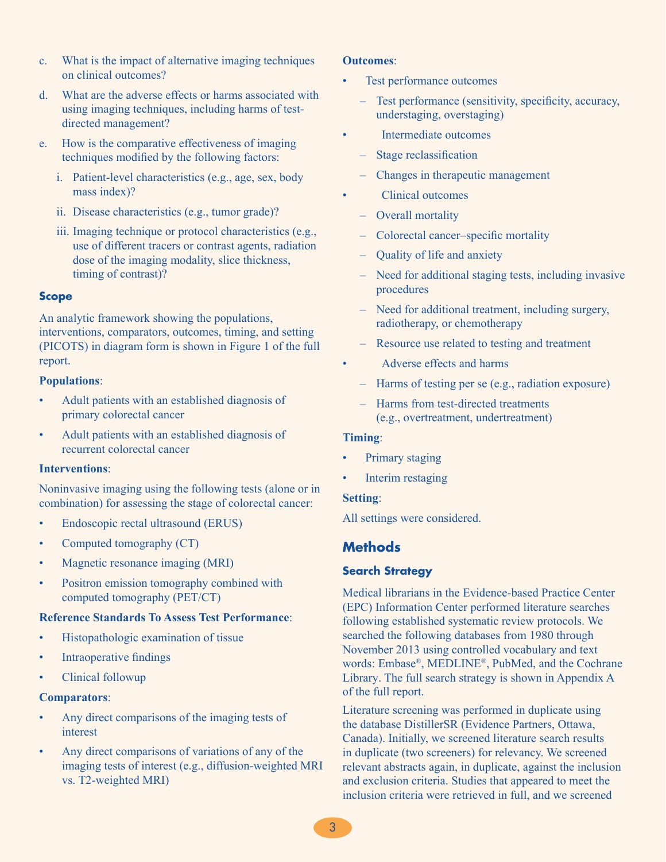- c. What is the impact of alternative imaging techniques on clinical outcomes?
- d. What are the adverse effects or harms associated with using imaging techniques, including harms of testdirected management?
- e. How is the comparative effectiveness of imaging techniques modified by the following factors:
	- i. Patient-level characteristics (e.g., age, sex, body mass index)?
	- ii. Disease characteristics (e.g., tumor grade)?
	- iii. Imaging technique or protocol characteristics (e.g., use of different tracers or contrast agents, radiation dose of the imaging modality, slice thickness, timing of contrast)?

#### **Scope**

An analytic framework showing the populations, interventions, comparators, outcomes, timing, and setting (PICOTS) in diagram form is shown in Figure 1 of the full report.

#### **Populations**:

- Adult patients with an established diagnosis of primary colorectal cancer
- Adult patients with an established diagnosis of recurrent colorectal cancer

#### **Interventions**:

Noninvasive imaging using the following tests (alone or in combination) for assessing the stage of colorectal cancer:

- Endoscopic rectal ultrasound (ERUS)
- Computed tomography (CT)
- Magnetic resonance imaging (MRI)
- Positron emission tomography combined with computed tomography (PET/CT)

#### **Reference Standards To Assess Test Performance**:

- Histopathologic examination of tissue
- Intraoperative findings
- Clinical followup

#### **Comparators**:

- Any direct comparisons of the imaging tests of interest
- Any direct comparisons of variations of any of the imaging tests of interest (e.g., diffusion-weighted MRI vs. T2-weighted MRI)

#### **Outcomes**:

- Test performance outcomes
	- Test performance (sensitivity, specificity, accuracy, understaging, overstaging)
- Intermediate outcomes
	- Stage reclassification
	- Changes in therapeutic management
	- Clinical outcomes
	- Overall mortality
	- Colorectal cancer–specific mortality
	- Quality of life and anxiety
	- Need for additional staging tests, including invasive procedures
	- Need for additional treatment, including surgery, radiotherapy, or chemotherapy
	- Resource use related to testing and treatment
- Adverse effects and harms
	- Harms of testing per se (e.g., radiation exposure)
	- Harms from test-directed treatments (e.g., overtreatment, undertreatment)

#### **Timing**:

- Primary staging
- Interim restaging

#### **Setting**:

All settings were considered.

## **Methods**

#### **Search Strategy**

Medical librarians in the Evidence-based Practice Center (EPC) Information Center performed literature searches following established systematic review protocols. We searched the following databases from 1980 through November 2013 using controlled vocabulary and text words: Embase® , MEDLINE® , PubMed, and the Cochrane Library. The full search strategy is shown in Appendix A of the full report.

Literature screening was performed in duplicate using the database DistillerSR (Evidence Partners, Ottawa, Canada). Initially, we screened literature search results in duplicate (two screeners) for relevancy. We screened relevant abstracts again, in duplicate, against the inclusion and exclusion criteria. Studies that appeared to meet the inclusion criteria were retrieved in full, and we screened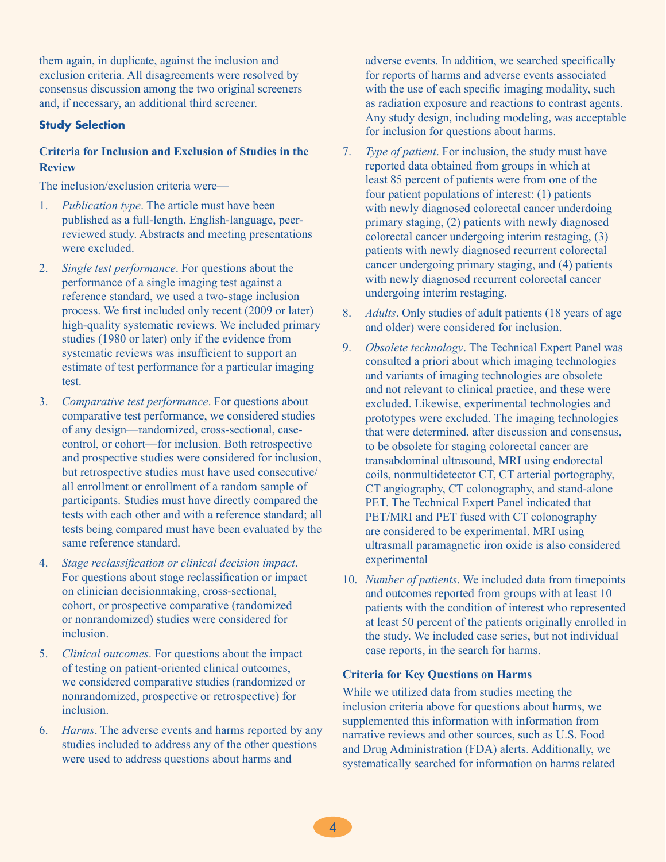them again, in duplicate, against the inclusion and exclusion criteria. All disagreements were resolved by consensus discussion among the two original screeners and, if necessary, an additional third screener.

#### **Study Selection**

#### **Criteria for Inclusion and Exclusion of Studies in the Review**

The inclusion/exclusion criteria were—

- 1. *Publication type*. The article must have been published as a full-length, English-language, peerreviewed study. Abstracts and meeting presentations were excluded
- 2. *Single test performance*. For questions about the performance of a single imaging test against a reference standard, we used a two-stage inclusion process. We first included only recent (2009 or later) high-quality systematic reviews. We included primary studies (1980 or later) only if the evidence from systematic reviews was insufficient to support an estimate of test performance for a particular imaging test.
- 3. *Comparative test performance*. For questions about comparative test performance, we considered studies of any design—randomized, cross-sectional, casecontrol, or cohort—for inclusion. Both retrospective and prospective studies were considered for inclusion, but retrospective studies must have used consecutive/ all enrollment or enrollment of a random sample of participants. Studies must have directly compared the tests with each other and with a reference standard; all tests being compared must have been evaluated by the same reference standard.
- 4. *Stage reclassification or clinical decision impact*. For questions about stage reclassification or impact on clinician decisionmaking, cross-sectional, cohort, or prospective comparative (randomized or nonrandomized) studies were considered for inclusion.
- 5. *Clinical outcomes*. For questions about the impact of testing on patient-oriented clinical outcomes, we considered comparative studies (randomized or nonrandomized, prospective or retrospective) for inclusion.
- 6. *Harms*. The adverse events and harms reported by any studies included to address any of the other questions were used to address questions about harms and

adverse events. In addition, we searched specifically for reports of harms and adverse events associated with the use of each specific imaging modality, such as radiation exposure and reactions to contrast agents. Any study design, including modeling, was acceptable for inclusion for questions about harms.

- 7. *Type of patient*. For inclusion, the study must have reported data obtained from groups in which at least 85 percent of patients were from one of the four patient populations of interest: (1) patients with newly diagnosed colorectal cancer underdoing primary staging, (2) patients with newly diagnosed colorectal cancer undergoing interim restaging, (3) patients with newly diagnosed recurrent colorectal cancer undergoing primary staging, and (4) patients with newly diagnosed recurrent colorectal cancer undergoing interim restaging.
- 8. *Adults*. Only studies of adult patients (18 years of age and older) were considered for inclusion.
- 9. *Obsolete technology*. The Technical Expert Panel was consulted a priori about which imaging technologies and variants of imaging technologies are obsolete and not relevant to clinical practice, and these were excluded. Likewise, experimental technologies and prototypes were excluded. The imaging technologies that were determined, after discussion and consensus, to be obsolete for staging colorectal cancer are transabdominal ultrasound, MRI using endorectal coils, nonmultidetector CT, CT arterial portography, CT angiography, CT colonography, and stand-alone PET. The Technical Expert Panel indicated that PET/MRI and PET fused with CT colonography are considered to be experimental. MRI using ultrasmall paramagnetic iron oxide is also considered experimental
- 10. *Number of patients*. We included data from timepoints and outcomes reported from groups with at least 10 patients with the condition of interest who represented at least 50 percent of the patients originally enrolled in the study. We included case series, but not individual case reports, in the search for harms.

#### **Criteria for Key Questions on Harms**

While we utilized data from studies meeting the inclusion criteria above for questions about harms, we supplemented this information with information from narrative reviews and other sources, such as U.S. Food and Drug Administration (FDA) alerts. Additionally, we systematically searched for information on harms related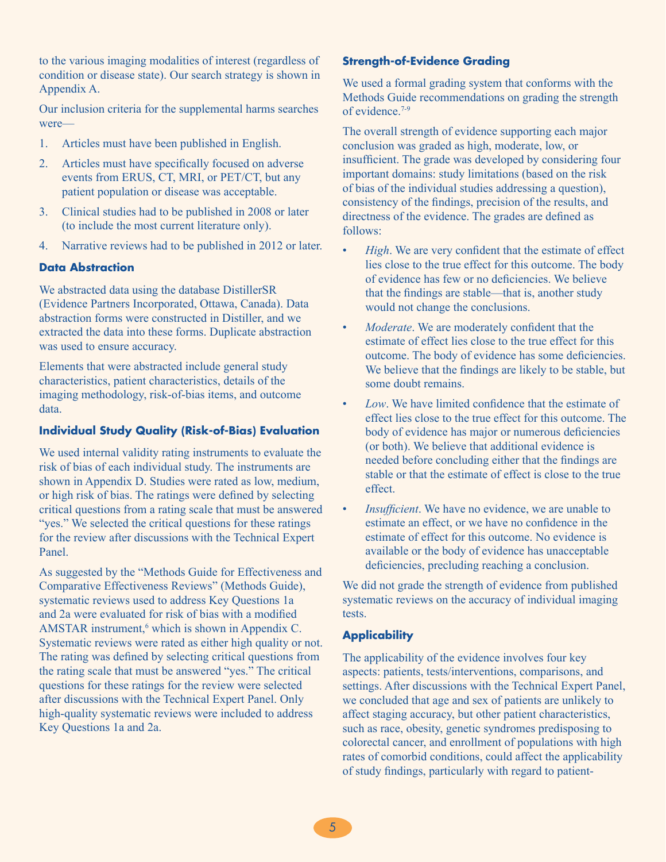to the various imaging modalities of interest (regardless of condition or disease state). Our search strategy is shown in Appendix A.

Our inclusion criteria for the supplemental harms searches were—

- 1. Articles must have been published in English.
- 2. Articles must have specifically focused on adverse events from ERUS, CT, MRI, or PET/CT, but any patient population or disease was acceptable.
- 3. Clinical studies had to be published in 2008 or later (to include the most current literature only).
- 4. Narrative reviews had to be published in 2012 or later.

#### **Data Abstraction**

We abstracted data using the database DistillerSR (Evidence Partners Incorporated, Ottawa, Canada). Data abstraction forms were constructed in Distiller, and we extracted the data into these forms. Duplicate abstraction was used to ensure accuracy.

Elements that were abstracted include general study characteristics, patient characteristics, details of the imaging methodology, risk-of-bias items, and outcome data.

#### **Individual Study Quality (Risk-of-Bias) Evaluation**

We used internal validity rating instruments to evaluate the risk of bias of each individual study. The instruments are shown in Appendix D. Studies were rated as low, medium, or high risk of bias. The ratings were defined by selecting critical questions from a rating scale that must be answered "yes." We selected the critical questions for these ratings for the review after discussions with the Technical Expert Panel.

As suggested by the "Methods Guide for Effectiveness and Comparative Effectiveness Reviews" (Methods Guide), systematic reviews used to address Key Questions 1a and 2a were evaluated for risk of bias with a modified AMSTAR instrument, $6$  which is shown in Appendix C. Systematic reviews were rated as either high quality or not. The rating was defined by selecting critical questions from the rating scale that must be answered "yes." The critical questions for these ratings for the review were selected after discussions with the Technical Expert Panel. Only high-quality systematic reviews were included to address Key Questions 1a and 2a.

#### **Strength-of-Evidence Grading**

We used a formal grading system that conforms with the Methods Guide recommendations on grading the strength of evidence<sup>7-9</sup>

The overall strength of evidence supporting each major conclusion was graded as high, moderate, low, or insufficient. The grade was developed by considering four important domains: study limitations (based on the risk of bias of the individual studies addressing a question), consistency of the findings, precision of the results, and directness of the evidence. The grades are defined as follows:

- *High*. We are very confident that the estimate of effect lies close to the true effect for this outcome. The body of evidence has few or no deficiencies. We believe that the findings are stable—that is, another study would not change the conclusions.
- Moderate. We are moderately confident that the estimate of effect lies close to the true effect for this outcome. The body of evidence has some deficiencies. We believe that the findings are likely to be stable, but some doubt remains.
- *Low*. We have limited confidence that the estimate of effect lies close to the true effect for this outcome. The body of evidence has major or numerous deficiencies (or both). We believe that additional evidence is needed before concluding either that the findings are stable or that the estimate of effect is close to the true effect.
- *Insufficient*. We have no evidence, we are unable to estimate an effect, or we have no confidence in the estimate of effect for this outcome. No evidence is available or the body of evidence has unacceptable deficiencies, precluding reaching a conclusion.

We did not grade the strength of evidence from published systematic reviews on the accuracy of individual imaging tests.

#### **Applicability**

The applicability of the evidence involves four key aspects: patients, tests/interventions, comparisons, and settings. After discussions with the Technical Expert Panel, we concluded that age and sex of patients are unlikely to affect staging accuracy, but other patient characteristics, such as race, obesity, genetic syndromes predisposing to colorectal cancer, and enrollment of populations with high rates of comorbid conditions, could affect the applicability of study findings, particularly with regard to patient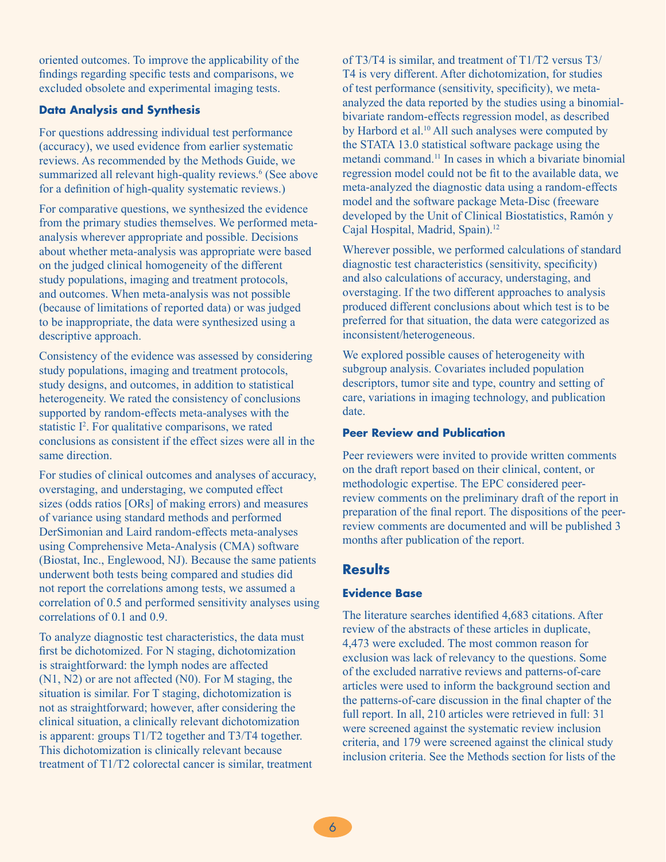oriented outcomes. To improve the applicability of the findings regarding specific tests and comparisons, we excluded obsolete and experimental imaging tests.

#### **Data Analysis and Synthesis**

For questions addressing individual test performance (accuracy), we used evidence from earlier systematic reviews. As recommended by the Methods Guide, we summarized all relevant high-quality reviews.<sup>6</sup> (See above for a definition of high-quality systematic reviews.)

For comparative questions, we synthesized the evidence from the primary studies themselves. We performed metaanalysis wherever appropriate and possible. Decisions about whether meta-analysis was appropriate were based on the judged clinical homogeneity of the different study populations, imaging and treatment protocols, and outcomes. When meta-analysis was not possible (because of limitations of reported data) or was judged to be inappropriate, the data were synthesized using a descriptive approach.

Consistency of the evidence was assessed by considering study populations, imaging and treatment protocols, study designs, and outcomes, in addition to statistical heterogeneity. We rated the consistency of conclusions supported by random-effects meta-analyses with the statistic I<sup>2</sup>. For qualitative comparisons, we rated conclusions as consistent if the effect sizes were all in the same direction.

For studies of clinical outcomes and analyses of accuracy, overstaging, and understaging, we computed effect sizes (odds ratios [ORs] of making errors) and measures of variance using standard methods and performed DerSimonian and Laird random-effects meta-analyses using Comprehensive Meta-Analysis (CMA) software (Biostat, Inc., Englewood, NJ). Because the same patients underwent both tests being compared and studies did not report the correlations among tests, we assumed a correlation of 0.5 and performed sensitivity analyses using correlations of 0.1 and 0.9.

To analyze diagnostic test characteristics, the data must first be dichotomized. For N staging, dichotomization is straightforward: the lymph nodes are affected (N1, N2) or are not affected (N0). For M staging, the situation is similar. For T staging, dichotomization is not as straightforward; however, after considering the clinical situation, a clinically relevant dichotomization is apparent: groups T1/T2 together and T3/T4 together. This dichotomization is clinically relevant because treatment of T1/T2 colorectal cancer is similar, treatment of T3/T4 is similar, and treatment of T1/T2 versus T3/ T4 is very different. After dichotomization, for studies of test performance (sensitivity, specificity), we metaanalyzed the data reported by the studies using a binomialbivariate random-effects regression model, as described by Harbord et al.<sup>10</sup> All such analyses were computed by the STATA 13.0 statistical software package using the metandi command.11 In cases in which a bivariate binomial regression model could not be fit to the available data, we meta-analyzed the diagnostic data using a random-effects model and the software package Meta-Disc (freeware developed by the Unit of Clinical Biostatistics, Ramón y Cajal Hospital, Madrid, Spain).12

Wherever possible, we performed calculations of standard diagnostic test characteristics (sensitivity, specificity) and also calculations of accuracy, understaging, and overstaging. If the two different approaches to analysis produced different conclusions about which test is to be preferred for that situation, the data were categorized as inconsistent/heterogeneous.

We explored possible causes of heterogeneity with subgroup analysis. Covariates included population descriptors, tumor site and type, country and setting of care, variations in imaging technology, and publication date.

#### **Peer Review and Publication**

Peer reviewers were invited to provide written comments on the draft report based on their clinical, content, or methodologic expertise. The EPC considered peerreview comments on the preliminary draft of the report in preparation of the final report. The dispositions of the peerreview comments are documented and will be published 3 months after publication of the report.

## **Results**

#### **Evidence Base**

The literature searches identified 4,683 citations. After review of the abstracts of these articles in duplicate, 4,473 were excluded. The most common reason for exclusion was lack of relevancy to the questions. Some of the excluded narrative reviews and patterns-of-care articles were used to inform the background section and the patterns-of-care discussion in the final chapter of the full report. In all, 210 articles were retrieved in full: 31 were screened against the systematic review inclusion criteria, and 179 were screened against the clinical study inclusion criteria. See the Methods section for lists of the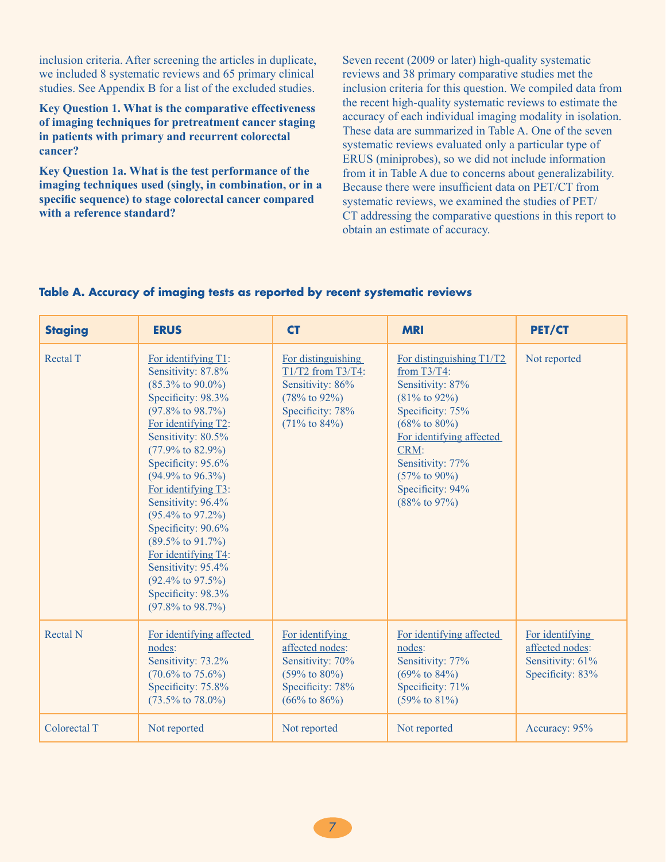inclusion criteria. After screening the articles in duplicate, we included 8 systematic reviews and 65 primary clinical studies. See Appendix B for a list of the excluded studies.

**Key Question 1. What is the comparative effectiveness of imaging techniques for pretreatment cancer staging in patients with primary and recurrent colorectal cancer?**

**Key Question 1a. What is the test performance of the imaging techniques used (singly, in combination, or in a specific sequence) to stage colorectal cancer compared with a reference standard?**

Seven recent (2009 or later) high-quality systematic reviews and 38 primary comparative studies met the inclusion criteria for this question. We compiled data from the recent high-quality systematic reviews to estimate the accuracy of each individual imaging modality in isolation. These data are summarized in Table A. One of the seven systematic reviews evaluated only a particular type of ERUS (miniprobes), so we did not include information from it in Table A due to concerns about generalizability. Because there were insufficient data on PET/CT from systematic reviews, we examined the studies of PET/ CT addressing the comparative questions in this report to obtain an estimate of accuracy.

#### **Table A. Accuracy of imaging tests as reported by recent systematic reviews**

| <b>Staging</b>  | <b>ERUS</b>                                                                                                                                                                                                                                                                                                                                                                                                                                                                                                                                      | <b>CT</b>                                                                                                                            | <b>MRI</b>                                                                                                                                                                                                                                                              | <b>PET/CT</b>                                                              |
|-----------------|--------------------------------------------------------------------------------------------------------------------------------------------------------------------------------------------------------------------------------------------------------------------------------------------------------------------------------------------------------------------------------------------------------------------------------------------------------------------------------------------------------------------------------------------------|--------------------------------------------------------------------------------------------------------------------------------------|-------------------------------------------------------------------------------------------------------------------------------------------------------------------------------------------------------------------------------------------------------------------------|----------------------------------------------------------------------------|
| <b>Rectal T</b> | For identifying T1:<br>Sensitivity: 87.8%<br>$(85.3\% \text{ to } 90.0\%)$<br>Specificity: 98.3%<br>$(97.8\% \text{ to } 98.7\%)$<br>For identifying T2:<br>Sensitivity: 80.5%<br>$(77.9\% \text{ to } 82.9\%)$<br>Specificity: 95.6%<br>$(94.9\% \text{ to } 96.3\%)$<br>For identifying T3:<br>Sensitivity: 96.4%<br>$(95.4\% \text{ to } 97.2\%)$<br>Specificity: 90.6%<br>$(89.5\% \text{ to } 91.7\%)$<br>For identifying T4:<br>Sensitivity: 95.4%<br>$(92.4\% \text{ to } 97.5\%)$<br>Specificity: 98.3%<br>$(97.8\% \text{ to } 98.7\%)$ | For distinguishing<br>$T1/T2$ from T3/T4:<br>Sensitivity: 86%<br>$(78%$ to 92%)<br>Specificity: 78%<br>$(71\% \text{ to } 84\%)$     | For distinguishing T1/T2<br>from $T3/T4$ :<br>Sensitivity: 87%<br>$(81\% \text{ to } 92\%)$<br>Specificity: 75%<br>$(68\% \text{ to } 80\%)$<br>For identifying affected<br>CRM:<br>Sensitivity: 77%<br>$(57\% \text{ to } 90\%)$<br>Specificity: 94%<br>$(88%$ to 97%) | Not reported                                                               |
| <b>Rectal N</b> | For identifying affected<br>nodes:<br>Sensitivity: 73.2%<br>$(70.6\% \text{ to } 75.6\%)$<br>Specificity: 75.8%<br>$(73.5\% \text{ to } 78.0\%)$                                                                                                                                                                                                                                                                                                                                                                                                 | For identifying<br>affected nodes:<br>Sensitivity: 70%<br>$(59\% \text{ to } 80\%)$<br>Specificity: 78%<br>$(66\% \text{ to } 86\%)$ | For identifying affected<br>nodes:<br>Sensitivity: 77%<br>$(69\% \text{ to } 84\%)$<br>Specificity: 71%<br>$(59\% \text{ to } 81\%)$                                                                                                                                    | For identifying<br>affected nodes:<br>Sensitivity: 61%<br>Specificity: 83% |
| Colorectal T    | Not reported                                                                                                                                                                                                                                                                                                                                                                                                                                                                                                                                     | Not reported                                                                                                                         | Not reported                                                                                                                                                                                                                                                            | Accuracy: 95%                                                              |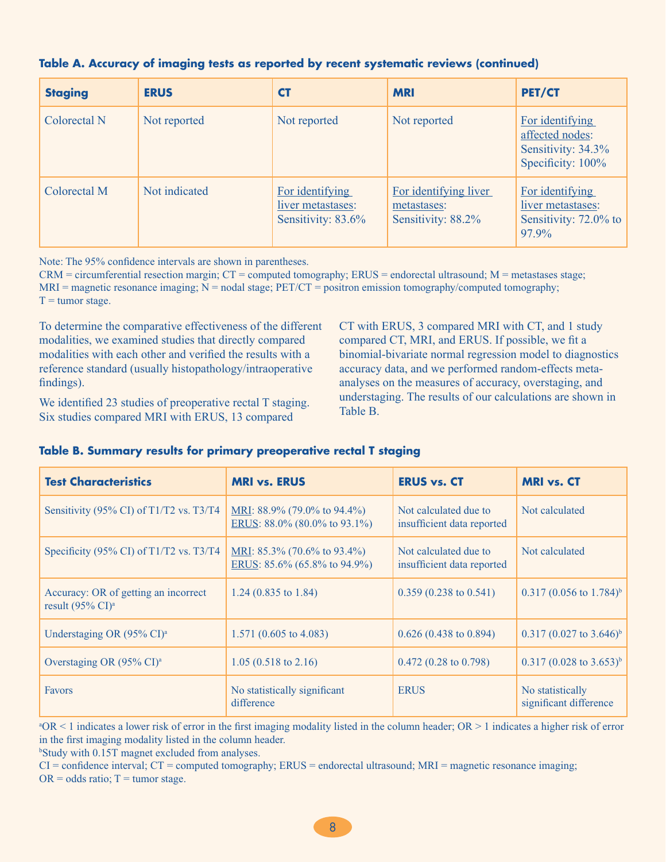| <b>Staging</b> | <b>ERUS</b>   | <b>CT</b>                                                  | <b>MRI</b>                                                 | <b>PET/CT</b>                                                                 |
|----------------|---------------|------------------------------------------------------------|------------------------------------------------------------|-------------------------------------------------------------------------------|
| Colorectal N   | Not reported  | Not reported                                               | Not reported                                               | For identifying<br>affected nodes:<br>Sensitivity: 34.3%<br>Specificity: 100% |
| Colorectal M   | Not indicated | For identifying<br>liver metastases:<br>Sensitivity: 83.6% | For identifying liver<br>metastases:<br>Sensitivity: 88.2% | For identifying<br>liver metastases:<br>Sensitivity: 72.0% to<br>$97.9\%$     |

#### **Table A. Accuracy of imaging tests as reported by recent systematic reviews (continued)**

Note: The 95% confidence intervals are shown in parentheses.

CRM = circumferential resection margin; CT = computed tomography; ERUS = endorectal ultrasound; M = metastases stage;  $MRI$  = magnetic resonance imaging;  $N$  = nodal stage;  $PET/CT$  = positron emission tomography/computed tomography;  $T =$  tumor stage.

To determine the comparative effectiveness of the different modalities, we examined studies that directly compared modalities with each other and verified the results with a reference standard (usually histopathology/intraoperative findings).

We identified 23 studies of preoperative rectal T staging. Six studies compared MRI with ERUS, 13 compared

CT with ERUS, 3 compared MRI with CT, and 1 study compared CT, MRI, and ERUS. If possible, we fit a binomial-bivariate normal regression model to diagnostics accuracy data, and we performed random-effects metaanalyses on the measures of accuracy, overstaging, and understaging. The results of our calculations are shown in Table B.

| <b>Test Characteristics</b>                                                   | <b>MRI vs. ERUS</b>                                               | <b>ERUS vs. CT</b>                                  | <b>MRI</b> vs. CT                          |
|-------------------------------------------------------------------------------|-------------------------------------------------------------------|-----------------------------------------------------|--------------------------------------------|
| Sensitivity (95% CI) of T1/T2 vs. T3/T4                                       | MRI: $88.9\%$ (79.0% to 94.4%)<br>ERUS: $88.0\%$ (80.0% to 93.1%) | Not calculated due to<br>insufficient data reported | Not calculated                             |
| Specificity (95% CI) of T1/T2 vs. T3/T4                                       | MRI: $85.3\%$ (70.6% to 93.4%)<br>ERUS: $85.6\%$ (65.8% to 94.9%) | Not calculated due to<br>insufficient data reported | Not calculated                             |
| Accuracy: OR of getting an incorrect<br>result $(95\% \text{ CI})^{\text{a}}$ | 1.24 $(0.835 \text{ to } 1.84)$                                   | $0.359(0.238 \text{ to } 0.541)$                    | $0.317(0.056 \text{ to } 1.784)^b$         |
| Understaging OR (95% CI) <sup>a</sup>                                         | 1.571 $(0.605 \text{ to } 4.083)$                                 | $0.626(0.438 \text{ to } 0.894)$                    | $0.317 (0.027 \text{ to } 3.646)^b$        |
| Overstaging OR $(95\% \text{ CI})^{\text{a}}$                                 | $1.05(0.518 \text{ to } 2.16)$                                    | $0.472(0.28 \text{ to } 0.798)$                     | $0.317 (0.028 \text{ to } 3.653)^b$        |
| <b>Favors</b>                                                                 | No statistically significant<br>difference                        | <b>ERUS</b>                                         | No statistically<br>significant difference |

#### **Table B. Summary results for primary preoperative rectal T staging**

 $^8OR < 1$  indicates a lower risk of error in the first imaging modality listed in the column header; OR > 1 indicates a higher risk of error in the first imaging modality listed in the column header.

b Study with 0.15T magnet excluded from analyses.

CI = confidence interval; CT = computed tomography; ERUS = endorectal ultrasound; MRI = magnetic resonance imaging;  $OR = odds ratio; T = tumor stage.$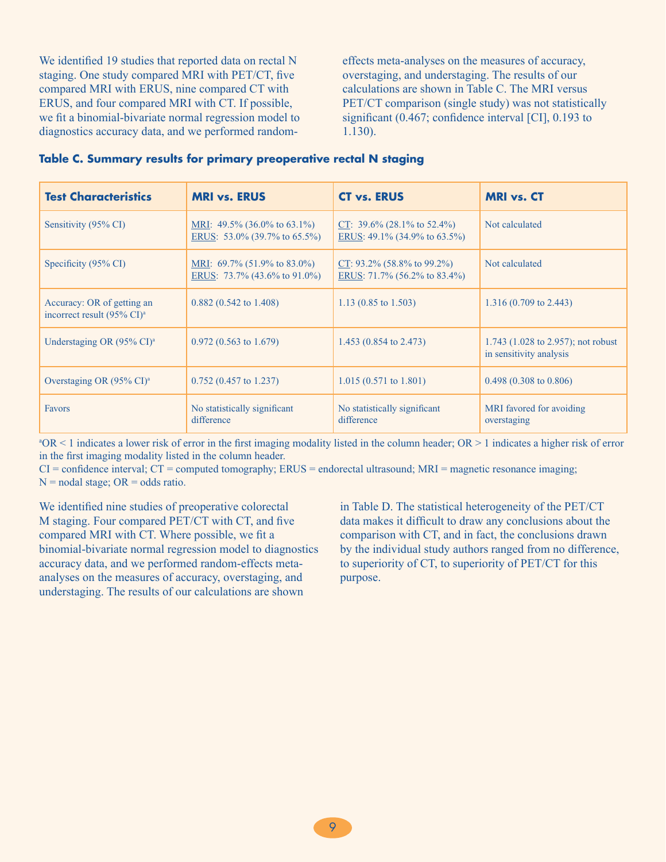We identified 19 studies that reported data on rectal N staging. One study compared MRI with PET/CT, five compared MRI with ERUS, nine compared CT with ERUS, and four compared MRI with CT. If possible, we fit a binomial-bivariate normal regression model to diagnostics accuracy data, and we performed randomeffects meta-analyses on the measures of accuracy, overstaging, and understaging. The results of our calculations are shown in Table C. The MRI versus PET/CT comparison (single study) was not statistically significant (0.467; confidence interval [CI], 0.193 to 1.130).

| Table C. Summary results for primary preoperative rectal N staging |  |  |  |  |  |
|--------------------------------------------------------------------|--|--|--|--|--|
|--------------------------------------------------------------------|--|--|--|--|--|

| <b>Test Characteristics</b>                                          | <b>MRI vs. ERUS</b>                                                      | <b>CT vs. ERUS</b>                                                   | <b>MRI vs. CT</b>                                                         |
|----------------------------------------------------------------------|--------------------------------------------------------------------------|----------------------------------------------------------------------|---------------------------------------------------------------------------|
| Sensitivity (95% CI)                                                 | MRI: 49.5% $(36.0\% \text{ to } 63.1\%)$<br>ERUS: 53.0% (39.7% to 65.5%) | CT: $39.6\%$ (28.1% to 52.4%)<br>ERUS: 49.1% (34.9% to 63.5%)        | Not calculated                                                            |
| Specificity (95% CI)                                                 | MRI: $69.7\%$ (51.9% to 83.0%)<br>ERUS: $73.7\%$ (43.6% to 91.0%)        | CT: $93.2\%$ (58.8% to $99.2\%$ )<br>ERUS: $71.7\%$ (56.2% to 83.4%) | Not calculated                                                            |
| Accuracy: OR of getting an<br>incorrect result (95% CI) <sup>a</sup> | $0.882$ (0.542 to 1.408)                                                 | 1.13 $(0.85 \text{ to } 1.503)$                                      | $1.316(0.709 \text{ to } 2.443)$                                          |
| Understaging OR $(95\% \text{ CI})^{\text{a}}$                       | $0.972(0.563 \text{ to } 1.679)$                                         | 1.453 $(0.854 \text{ to } 2.473)$                                    | 1.743 $(1.028 \text{ to } 2.957)$ ; not robust<br>in sensitivity analysis |
| Overstaging OR $(95\% \text{ CI})^{\text{a}}$                        | $0.752(0.457 \text{ to } 1.237)$                                         | $1.015(0.571 \text{ to } 1.801)$                                     | $0.498(0.308 \text{ to } 0.806)$                                          |
| <b>Favors</b>                                                        | No statistically significant<br>difference                               | No statistically significant<br>difference                           | MRI favored for avoiding<br>overstaging                                   |

 $^8OR < 1$  indicates a lower risk of error in the first imaging modality listed in the column header; OR > 1 indicates a higher risk of error in the first imaging modality listed in the column header.

 $CI =$  confidence interval;  $CT =$  computed tomography; ERUS = endorectal ultrasound; MRI = magnetic resonance imaging;  $N =$  nodal stage;  $OR =$  odds ratio.

We identified nine studies of preoperative colorectal M staging. Four compared PET/CT with CT, and five compared MRI with CT. Where possible, we fit a binomial-bivariate normal regression model to diagnostics accuracy data, and we performed random-effects metaanalyses on the measures of accuracy, overstaging, and understaging. The results of our calculations are shown

in Table D. The statistical heterogeneity of the PET/CT data makes it difficult to draw any conclusions about the comparison with CT, and in fact, the conclusions drawn by the individual study authors ranged from no difference, to superiority of CT, to superiority of PET/CT for this purpose.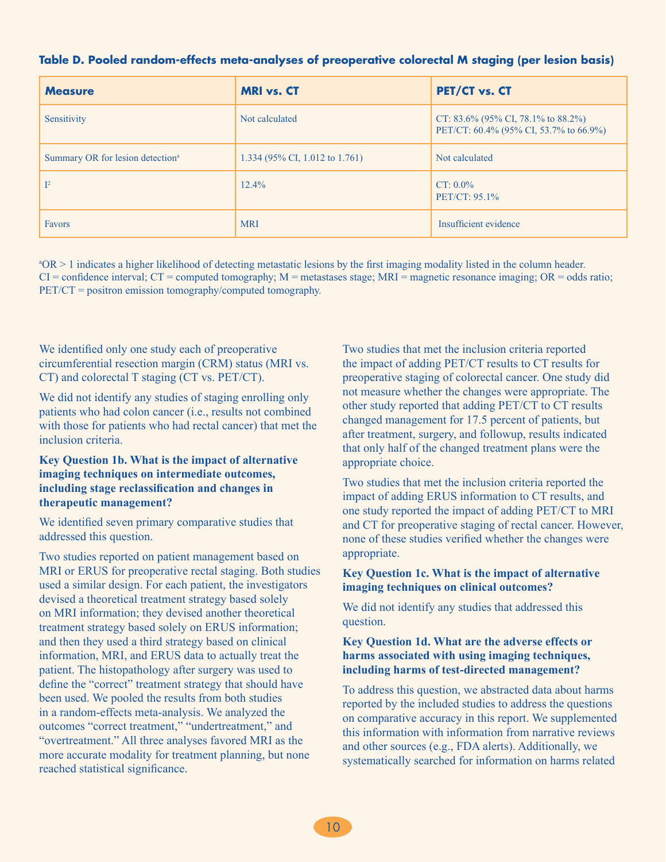| <b>Measure</b>                               | <b>MRI</b> vs. CT              | PET/CT vs. CT                                                                |
|----------------------------------------------|--------------------------------|------------------------------------------------------------------------------|
| Sensitivity                                  | Not calculated                 | CT: 83.6% (95% CI, 78.1% to 88.2%)<br>PET/CT: 60.4% (95% CI, 53.7% to 66.9%) |
| Summary OR for lesion detection <sup>a</sup> | 1.334 (95% CI, 1.012 to 1.761) | Not calculated                                                               |
| $\mathbb{I}^2$                               | $12.4\%$                       | $CT: 0.0\%$<br>$PET/CT: 95.1\%$                                              |
| <b>Favors</b>                                | <b>MRI</b>                     | Insufficient evidence                                                        |

#### **Table D. Pooled random-effects meta-analyses of preoperative colorectal M staging (per lesion basis)**

a OR > 1 indicates a higher likelihood of detecting metastatic lesions by the first imaging modality listed in the column header.  $CI =$  confidence interval;  $CT =$  computed tomography;  $M =$  metastases stage;  $MRI =$  magnetic resonance imaging;  $OR =$  odds ratio; PET/CT = positron emission tomography/computed tomography.

We identified only one study each of preoperative circumferential resection margin (CRM) status (MRI vs. CT) and colorectal T staging (CT vs. PET/CT).

We did not identify any studies of staging enrolling only patients who had colon cancer (i.e., results not combined with those for patients who had rectal cancer) that met the inclusion criteria.

#### **Key Question 1b. What is the impact of alternative imaging techniques on intermediate outcomes, including stage reclassification and changes in therapeutic management?**

We identified seven primary comparative studies that addressed this question.

Two studies reported on patient management based on MRI or ERUS for preoperative rectal staging. Both studies used a similar design. For each patient, the investigators devised a theoretical treatment strategy based solely on MRI information; they devised another theoretical treatment strategy based solely on ERUS information; and then they used a third strategy based on clinical information, MRI, and ERUS data to actually treat the patient. The histopathology after surgery was used to define the "correct" treatment strategy that should have been used. We pooled the results from both studies in a random-effects meta-analysis. We analyzed the outcomes "correct treatment," "undertreatment," and "overtreatment." All three analyses favored MRI as the more accurate modality for treatment planning, but none reached statistical significance.

Two studies that met the inclusion criteria reported the impact of adding PET/CT results to CT results for preoperative staging of colorectal cancer. One study did not measure whether the changes were appropriate. The other study reported that adding PET/CT to CT results changed management for 17.5 percent of patients, but after treatment, surgery, and followup, results indicated that only half of the changed treatment plans were the appropriate choice.

Two studies that met the inclusion criteria reported the impact of adding ERUS information to CT results, and one study reported the impact of adding PET/CT to MRI and CT for preoperative staging of rectal cancer. However, none of these studies verified whether the changes were appropriate.

#### **Key Question 1c. What is the impact of alternative imaging techniques on clinical outcomes?**

We did not identify any studies that addressed this question.

#### **Key Question 1d. What are the adverse effects or harms associated with using imaging techniques, including harms of test-directed management?**

To address this question, we abstracted data about harms reported by the included studies to address the questions on comparative accuracy in this report. We supplemented this information with information from narrative reviews and other sources (e.g., FDA alerts). Additionally, we systematically searched for information on harms related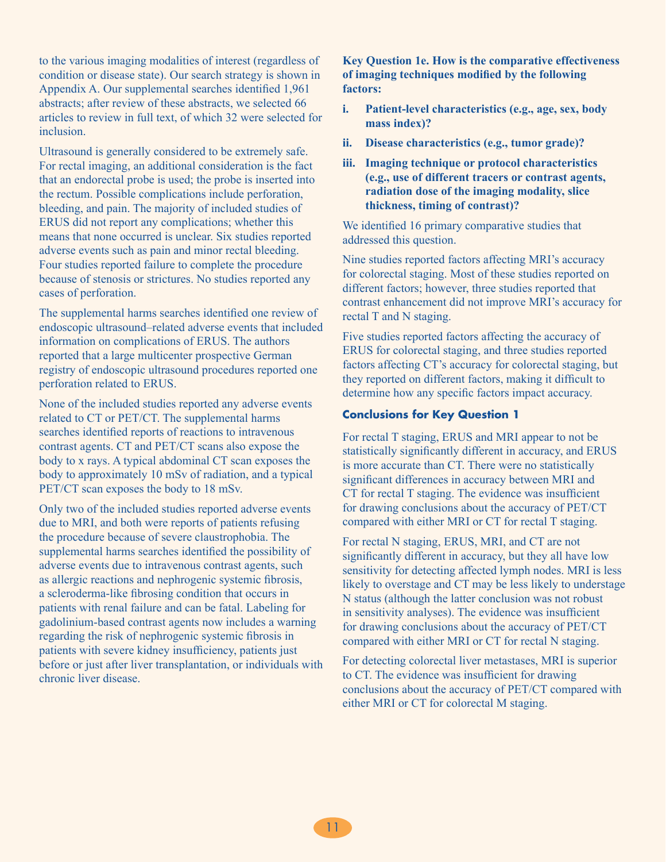to the various imaging modalities of interest (regardless of condition or disease state). Our search strategy is shown in Appendix A. Our supplemental searches identified 1,961 abstracts; after review of these abstracts, we selected 66 articles to review in full text, of which 32 were selected for inclusion.

Ultrasound is generally considered to be extremely safe. For rectal imaging, an additional consideration is the fact that an endorectal probe is used; the probe is inserted into the rectum. Possible complications include perforation, bleeding, and pain. The majority of included studies of ERUS did not report any complications; whether this means that none occurred is unclear. Six studies reported adverse events such as pain and minor rectal bleeding. Four studies reported failure to complete the procedure because of stenosis or strictures. No studies reported any cases of perforation.

The supplemental harms searches identified one review of endoscopic ultrasound–related adverse events that included information on complications of ERUS. The authors reported that a large multicenter prospective German registry of endoscopic ultrasound procedures reported one perforation related to ERUS.

None of the included studies reported any adverse events related to CT or PET/CT. The supplemental harms searches identified reports of reactions to intravenous contrast agents. CT and PET/CT scans also expose the body to x rays. A typical abdominal CT scan exposes the body to approximately 10 mSv of radiation, and a typical PET/CT scan exposes the body to 18 mSv.

Only two of the included studies reported adverse events due to MRI, and both were reports of patients refusing the procedure because of severe claustrophobia. The supplemental harms searches identified the possibility of adverse events due to intravenous contrast agents, such as allergic reactions and nephrogenic systemic fibrosis, a scleroderma-like fibrosing condition that occurs in patients with renal failure and can be fatal. Labeling for gadolinium-based contrast agents now includes a warning regarding the risk of nephrogenic systemic fibrosis in patients with severe kidney insufficiency, patients just before or just after liver transplantation, or individuals with chronic liver disease.

#### **Key Question 1e. How is the comparative effectiveness of imaging techniques modified by the following factors:**

- **i. Patient-level characteristics (e.g., age, sex, body mass index)?**
- **ii. Disease characteristics (e.g., tumor grade)?**
- **iii. Imaging technique or protocol characteristics (e.g., use of different tracers or contrast agents, radiation dose of the imaging modality, slice thickness, timing of contrast)?**

We identified 16 primary comparative studies that addressed this question.

Nine studies reported factors affecting MRI's accuracy for colorectal staging. Most of these studies reported on different factors; however, three studies reported that contrast enhancement did not improve MRI's accuracy for rectal T and N staging.

Five studies reported factors affecting the accuracy of ERUS for colorectal staging, and three studies reported factors affecting CT's accuracy for colorectal staging, but they reported on different factors, making it difficult to determine how any specific factors impact accuracy.

#### **Conclusions for Key Question 1**

For rectal T staging, ERUS and MRI appear to not be statistically significantly different in accuracy, and ERUS is more accurate than CT. There were no statistically significant differences in accuracy between MRI and CT for rectal T staging. The evidence was insufficient for drawing conclusions about the accuracy of PET/CT compared with either MRI or CT for rectal T staging.

For rectal N staging, ERUS, MRI, and CT are not significantly different in accuracy, but they all have low sensitivity for detecting affected lymph nodes. MRI is less likely to overstage and CT may be less likely to understage N status (although the latter conclusion was not robust in sensitivity analyses). The evidence was insufficient for drawing conclusions about the accuracy of PET/CT compared with either MRI or CT for rectal N staging.

For detecting colorectal liver metastases, MRI is superior to CT. The evidence was insufficient for drawing conclusions about the accuracy of PET/CT compared with either MRI or CT for colorectal M staging.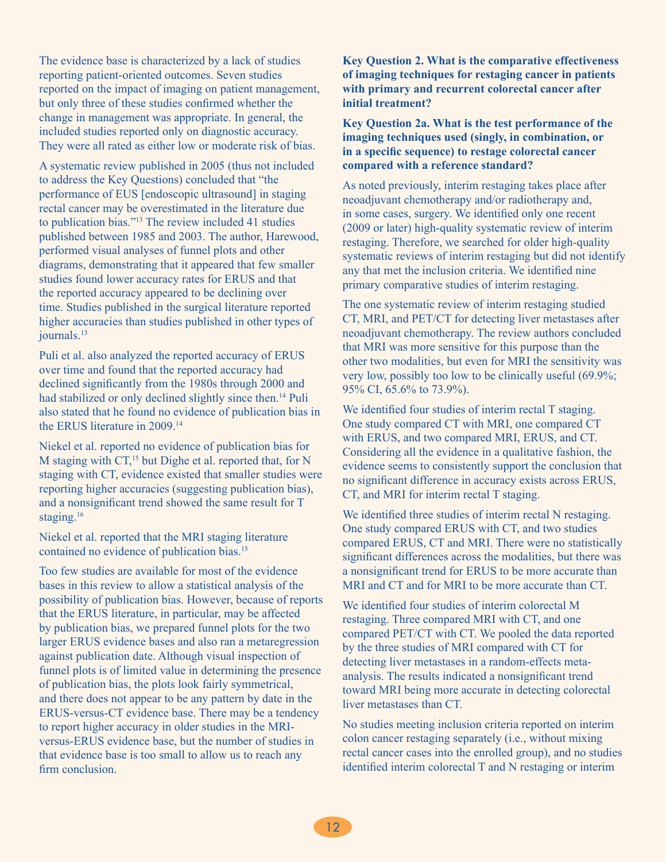The evidence base is characterized by a lack of studies reporting patient-oriented outcomes. Seven studies reported on the impact of imaging on patient management, but only three of these studies confirmed whether the change in management was appropriate. In general, the included studies reported only on diagnostic accuracy. They were all rated as either low or moderate risk of bias.

A systematic review published in 2005 (thus not included to address the Key Questions) concluded that "the performance of EUS [endoscopic ultrasound] in staging rectal cancer may be overestimated in the literature due to publication bias."13 The review included 41 studies published between 1985 and 2003. The author, Harewood, performed visual analyses of funnel plots and other diagrams, demonstrating that it appeared that few smaller studies found lower accuracy rates for ERUS and that the reported accuracy appeared to be declining over time. Studies published in the surgical literature reported higher accuracies than studies published in other types of journals.<sup>13</sup>

Puli et al. also analyzed the reported accuracy of ERUS over time and found that the reported accuracy had declined significantly from the 1980s through 2000 and had stabilized or only declined slightly since then.<sup>14</sup> Puli also stated that he found no evidence of publication bias in the ERUS literature in 2009.14

Niekel et al. reported no evidence of publication bias for M staging with CT,<sup>15</sup> but Dighe et al. reported that, for N staging with CT, evidence existed that smaller studies were reporting higher accuracies (suggesting publication bias), and a nonsignificant trend showed the same result for T staging.<sup>16</sup>

Niekel et al. reported that the MRI staging literature contained no evidence of publication bias.<sup>15</sup>

Too few studies are available for most of the evidence bases in this review to allow a statistical analysis of the possibility of publication bias. However, because of reports that the ERUS literature, in particular, may be affected by publication bias, we prepared funnel plots for the two larger ERUS evidence bases and also ran a metaregression against publication date. Although visual inspection of funnel plots is of limited value in determining the presence of publication bias, the plots look fairly symmetrical, and there does not appear to be any pattern by date in the ERUS-versus-CT evidence base. There may be a tendency to report higher accuracy in older studies in the MRIversus-ERUS evidence base, but the number of studies in that evidence base is too small to allow us to reach any firm conclusion.

**Key Question 2. What is the comparative effectiveness of imaging techniques for restaging cancer in patients with primary and recurrent colorectal cancer after initial treatment?**

**Key Question 2a. What is the test performance of the imaging techniques used (singly, in combination, or in a specific sequence) to restage colorectal cancer compared with a reference standard?**

As noted previously, interim restaging takes place after neoadjuvant chemotherapy and/or radiotherapy and, in some cases, surgery. We identified only one recent (2009 or later) high-quality systematic review of interim restaging. Therefore, we searched for older high-quality systematic reviews of interim restaging but did not identify any that met the inclusion criteria. We identified nine primary comparative studies of interim restaging.

The one systematic review of interim restaging studied CT, MRI, and PET/CT for detecting liver metastases after neoadjuvant chemotherapy. The review authors concluded that MRI was more sensitive for this purpose than the other two modalities, but even for MRI the sensitivity was very low, possibly too low to be clinically useful (69.9%; 95% CI, 65.6% to 73.9%).

We identified four studies of interim rectal T staging. One study compared CT with MRI, one compared CT with ERUS, and two compared MRI, ERUS, and CT. Considering all the evidence in a qualitative fashion, the evidence seems to consistently support the conclusion that no significant difference in accuracy exists across ERUS, CT, and MRI for interim rectal T staging.

We identified three studies of interim rectal N restaging. One study compared ERUS with CT, and two studies compared ERUS, CT and MRI. There were no statistically significant differences across the modalities, but there was a nonsignificant trend for ERUS to be more accurate than MRI and CT and for MRI to be more accurate than CT.

We identified four studies of interim colorectal M restaging. Three compared MRI with CT, and one compared PET/CT with CT. We pooled the data reported by the three studies of MRI compared with CT for detecting liver metastases in a random-effects metaanalysis. The results indicated a nonsignificant trend toward MRI being more accurate in detecting colorectal liver metastases than CT.

No studies meeting inclusion criteria reported on interim colon cancer restaging separately (i.e., without mixing rectal cancer cases into the enrolled group), and no studies identified interim colorectal T and N restaging or interim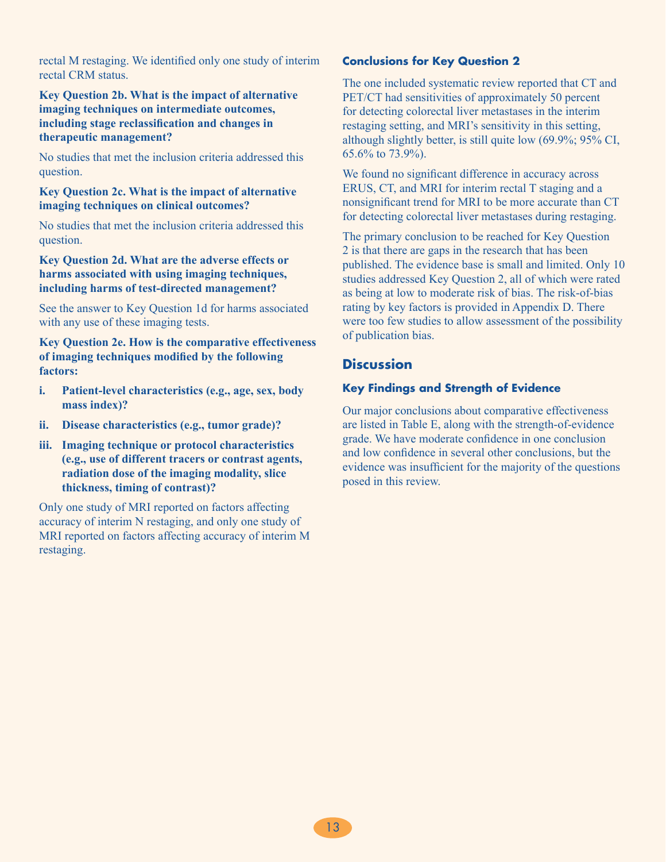rectal M restaging. We identified only one study of interim rectal CRM status.

**Key Question 2b. What is the impact of alternative imaging techniques on intermediate outcomes, including stage reclassification and changes in therapeutic management?**

No studies that met the inclusion criteria addressed this question.

**Key Question 2c. What is the impact of alternative imaging techniques on clinical outcomes?**

No studies that met the inclusion criteria addressed this question.

**Key Question 2d. What are the adverse effects or harms associated with using imaging techniques, including harms of test-directed management?**

See the answer to Key Question 1d for harms associated with any use of these imaging tests.

**Key Question 2e. How is the comparative effectiveness of imaging techniques modified by the following factors:**

- **i. Patient-level characteristics (e.g., age, sex, body mass index)?**
- **ii. Disease characteristics (e.g., tumor grade)?**
- **iii. Imaging technique or protocol characteristics (e.g., use of different tracers or contrast agents, radiation dose of the imaging modality, slice thickness, timing of contrast)?**

Only one study of MRI reported on factors affecting accuracy of interim N restaging, and only one study of MRI reported on factors affecting accuracy of interim M restaging.

#### **Conclusions for Key Question 2**

The one included systematic review reported that CT and PET/CT had sensitivities of approximately 50 percent for detecting colorectal liver metastases in the interim restaging setting, and MRI's sensitivity in this setting, although slightly better, is still quite low (69.9%; 95% CI, 65.6% to 73.9%).

We found no significant difference in accuracy across ERUS, CT, and MRI for interim rectal T staging and a nonsignificant trend for MRI to be more accurate than CT for detecting colorectal liver metastases during restaging.

The primary conclusion to be reached for Key Question 2 is that there are gaps in the research that has been published. The evidence base is small and limited. Only 10 studies addressed Key Question 2, all of which were rated as being at low to moderate risk of bias. The risk-of-bias rating by key factors is provided in Appendix D. There were too few studies to allow assessment of the possibility of publication bias.

### **Discussion**

#### **Key Findings and Strength of Evidence**

Our major conclusions about comparative effectiveness are listed in Table E, along with the strength-of-evidence grade. We have moderate confidence in one conclusion and low confidence in several other conclusions, but the evidence was insufficient for the majority of the questions posed in this review.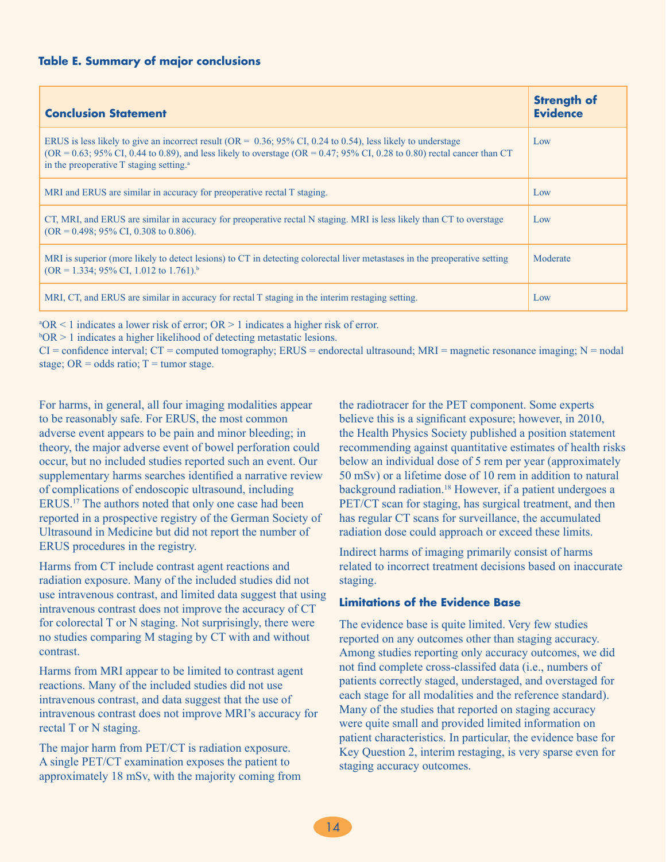| <b>Conclusion Statement</b>                                                                                                                                                                                                                                                                                                                    | <b>Strength of</b><br><b>Evidence</b> |
|------------------------------------------------------------------------------------------------------------------------------------------------------------------------------------------------------------------------------------------------------------------------------------------------------------------------------------------------|---------------------------------------|
| ERUS is less likely to give an incorrect result ( $OR = 0.36$ ; $95\%$ CI, 0.24 to 0.54), less likely to understage<br>$(OR = 0.63; 95\% \text{ CI}, 0.44 \text{ to } 0.89)$ , and less likely to overstage $(OR = 0.47; 95\% \text{ CI}, 0.28 \text{ to } 0.80)$ rectal cancer than CT<br>in the preoperative T staging setting. <sup>a</sup> | Low                                   |
| MRI and ERUS are similar in accuracy for preoperative rectal T staging.                                                                                                                                                                                                                                                                        | Low                                   |
| CT, MRI, and ERUS are similar in accuracy for preoperative rectal N staging. MRI is less likely than CT to overstage<br>$(OR = 0.498; 95\% \text{ CI}, 0.308 \text{ to } 0.806).$                                                                                                                                                              | Low                                   |
| MRI is superior (more likely to detect lesions) to CT in detecting colorectal liver metastases in the preoperative setting<br>$(OR = 1.334; 95\% CI, 1.012$ to 1.761). <sup>b</sup>                                                                                                                                                            | Moderate                              |
| MRI, CT, and ERUS are similar in accuracy for rectal T staging in the interim restaging setting.                                                                                                                                                                                                                                               | Low                                   |

a OR < 1 indicates a lower risk of error; OR > 1 indicates a higher risk of error.

 $bOR > 1$  indicates a higher likelihood of detecting metastatic lesions.

 $CI =$  confidence interval;  $CT =$  computed tomography;  $ERUS =$  endorectal ultrasound;  $MRI =$  magnetic resonance imaging;  $N =$  nodal stage;  $OR = odds ratio$ ;  $T = tumor stage$ .

For harms, in general, all four imaging modalities appear to be reasonably safe. For ERUS, the most common adverse event appears to be pain and minor bleeding; in theory, the major adverse event of bowel perforation could occur, but no included studies reported such an event. Our supplementary harms searches identified a narrative review of complications of endoscopic ultrasound, including ERUS.17 The authors noted that only one case had been reported in a prospective registry of the German Society of Ultrasound in Medicine but did not report the number of ERUS procedures in the registry.

Harms from CT include contrast agent reactions and radiation exposure. Many of the included studies did not use intravenous contrast, and limited data suggest that using intravenous contrast does not improve the accuracy of CT for colorectal T or N staging. Not surprisingly, there were no studies comparing M staging by CT with and without contrast.

Harms from MRI appear to be limited to contrast agent reactions. Many of the included studies did not use intravenous contrast, and data suggest that the use of intravenous contrast does not improve MRI's accuracy for rectal T or N staging.

The major harm from PET/CT is radiation exposure. A single PET/CT examination exposes the patient to approximately 18 mSv, with the majority coming from the radiotracer for the PET component. Some experts believe this is a significant exposure; however, in 2010, the Health Physics Society published a position statement recommending against quantitative estimates of health risks below an individual dose of 5 rem per year (approximately 50 mSv) or a lifetime dose of 10 rem in addition to natural background radiation.<sup>18</sup> However, if a patient undergoes a PET/CT scan for staging, has surgical treatment, and then has regular CT scans for surveillance, the accumulated radiation dose could approach or exceed these limits.

Indirect harms of imaging primarily consist of harms related to incorrect treatment decisions based on inaccurate staging.

#### **Limitations of the Evidence Base**

The evidence base is quite limited. Very few studies reported on any outcomes other than staging accuracy. Among studies reporting only accuracy outcomes, we did not find complete cross-classifed data (i.e., numbers of patients correctly staged, understaged, and overstaged for each stage for all modalities and the reference standard). Many of the studies that reported on staging accuracy were quite small and provided limited information on patient characteristics. In particular, the evidence base for Key Question 2, interim restaging, is very sparse even for staging accuracy outcomes.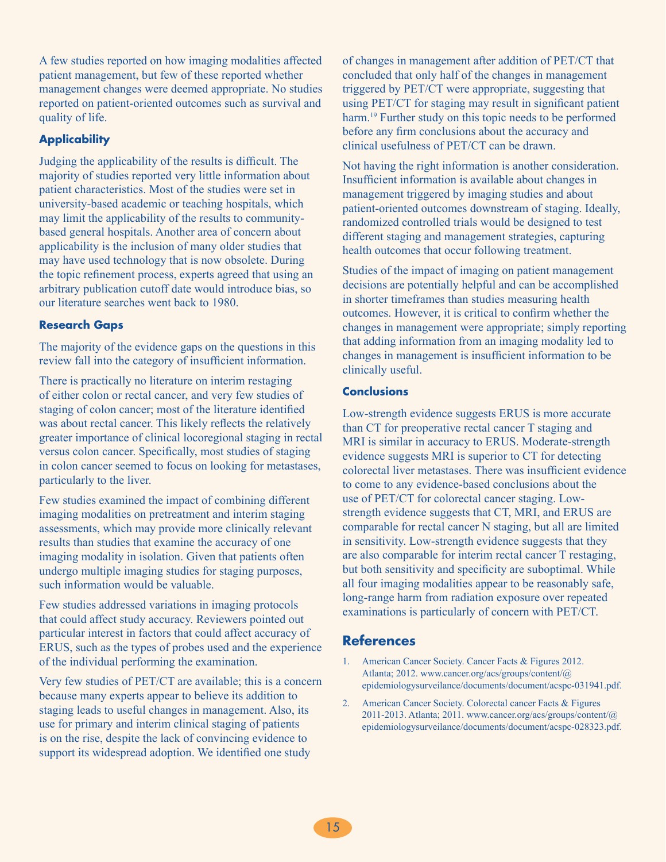A few studies reported on how imaging modalities affected patient management, but few of these reported whether management changes were deemed appropriate. No studies reported on patient-oriented outcomes such as survival and quality of life.

#### **Applicability**

Judging the applicability of the results is difficult. The majority of studies reported very little information about patient characteristics. Most of the studies were set in university-based academic or teaching hospitals, which may limit the applicability of the results to communitybased general hospitals. Another area of concern about applicability is the inclusion of many older studies that may have used technology that is now obsolete. During the topic refinement process, experts agreed that using an arbitrary publication cutoff date would introduce bias, so our literature searches went back to 1980.

#### **Research Gaps**

The majority of the evidence gaps on the questions in this review fall into the category of insufficient information.

There is practically no literature on interim restaging of either colon or rectal cancer, and very few studies of staging of colon cancer; most of the literature identified was about rectal cancer. This likely reflects the relatively greater importance of clinical locoregional staging in rectal versus colon cancer. Specifically, most studies of staging in colon cancer seemed to focus on looking for metastases, particularly to the liver.

Few studies examined the impact of combining different imaging modalities on pretreatment and interim staging assessments, which may provide more clinically relevant results than studies that examine the accuracy of one imaging modality in isolation. Given that patients often undergo multiple imaging studies for staging purposes, such information would be valuable.

Few studies addressed variations in imaging protocols that could affect study accuracy. Reviewers pointed out particular interest in factors that could affect accuracy of ERUS, such as the types of probes used and the experience of the individual performing the examination.

Very few studies of PET/CT are available; this is a concern because many experts appear to believe its addition to staging leads to useful changes in management. Also, its use for primary and interim clinical staging of patients is on the rise, despite the lack of convincing evidence to support its widespread adoption. We identified one study

of changes in management after addition of PET/CT that concluded that only half of the changes in management triggered by PET/CT were appropriate, suggesting that using PET/CT for staging may result in significant patient harm.<sup>19</sup> Further study on this topic needs to be performed before any firm conclusions about the accuracy and clinical usefulness of PET/CT can be drawn.

Not having the right information is another consideration. Insufficient information is available about changes in management triggered by imaging studies and about patient-oriented outcomes downstream of staging. Ideally, randomized controlled trials would be designed to test different staging and management strategies, capturing health outcomes that occur following treatment.

Studies of the impact of imaging on patient management decisions are potentially helpful and can be accomplished in shorter timeframes than studies measuring health outcomes. However, it is critical to confirm whether the changes in management were appropriate; simply reporting that adding information from an imaging modality led to changes in management is insufficient information to be clinically useful.

#### **Conclusions**

Low-strength evidence suggests ERUS is more accurate than CT for preoperative rectal cancer T staging and MRI is similar in accuracy to ERUS. Moderate-strength evidence suggests MRI is superior to CT for detecting colorectal liver metastases. There was insufficient evidence to come to any evidence-based conclusions about the use of PET/CT for colorectal cancer staging. Lowstrength evidence suggests that CT, MRI, and ERUS are comparable for rectal cancer N staging, but all are limited in sensitivity. Low-strength evidence suggests that they are also comparable for interim rectal cancer T restaging, but both sensitivity and specificity are suboptimal. While all four imaging modalities appear to be reasonably safe, long-range harm from radiation exposure over repeated examinations is particularly of concern with PET/CT.

## **References**

- 1. American Cancer Society. Cancer Facts & Figures 2012. Atlanta; 2012. www.cancer.org/acs/groups/content/@ epidemiologysurveilance/documents/document/acspc-031941.pdf.
- 2. American Cancer Society. Colorectal cancer Facts & Figures 2011-2013. Atlanta; 2011. www.cancer.org/acs/groups/content/@ epidemiologysurveilance/documents/document/acspc-028323.pdf.